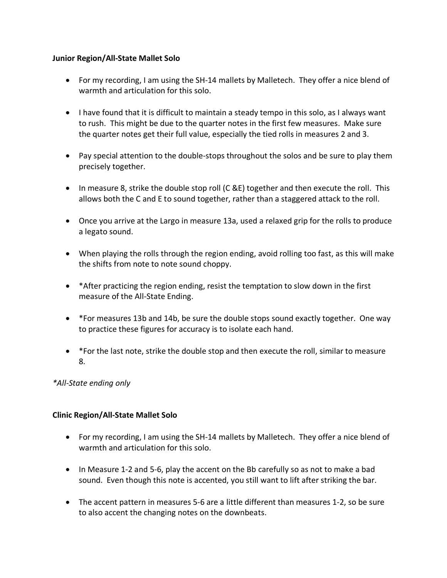#### **Junior Region/All-State Mallet Solo**

- For my recording, I am using the SH-14 mallets by Malletech. They offer a nice blend of warmth and articulation for this solo.
- I have found that it is difficult to maintain a steady tempo in this solo, as I always want to rush. This might be due to the quarter notes in the first few measures. Make sure the quarter notes get their full value, especially the tied rolls in measures 2 and 3.
- Pay special attention to the double-stops throughout the solos and be sure to play them precisely together.
- In measure 8, strike the double stop roll (C &E) together and then execute the roll. This allows both the C and E to sound together, rather than a staggered attack to the roll.
- Once you arrive at the Largo in measure 13a, used a relaxed grip for the rolls to produce a legato sound.
- When playing the rolls through the region ending, avoid rolling too fast, as this will make the shifts from note to note sound choppy.
- \*After practicing the region ending, resist the temptation to slow down in the first measure of the All-State Ending.
- \*For measures 13b and 14b, be sure the double stops sound exactly together. One way to practice these figures for accuracy is to isolate each hand.
- \*For the last note, strike the double stop and then execute the roll, similar to measure 8.

# *\*All-State ending only*

# **Clinic Region/All-State Mallet Solo**

- For my recording, I am using the SH-14 mallets by Malletech. They offer a nice blend of warmth and articulation for this solo.
- In Measure 1-2 and 5-6, play the accent on the Bb carefully so as not to make a bad sound. Even though this note is accented, you still want to lift after striking the bar.
- The accent pattern in measures 5-6 are a little different than measures 1-2, so be sure to also accent the changing notes on the downbeats.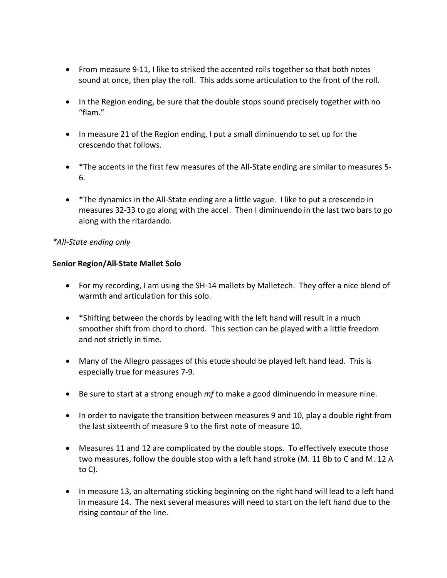- From measure 9-11, I like to striked the accented rolls together so that both notes sound at once, then play the roll. This adds some articulation to the front of the roll.
- In the Region ending, be sure that the double stops sound precisely together with no "flam."
- In measure 21 of the Region ending, I put a small diminuendo to set up for the crescendo that follows.
- \*The accents in the first few measures of the All-State ending are similar to measures 5- 6.
- \*The dynamics in the All-State ending are a little vague. I like to put a crescendo in measures 32-33 to go along with the accel. Then I diminuendo in the last two bars to go along with the ritardando.

### *\*All-State ending only*

#### **Senior Region/All-State Mallet Solo**

- For my recording, I am using the SH-14 mallets by Malletech. They offer a nice blend of warmth and articulation for this solo.
- \*Shifting between the chords by leading with the left hand will result in a much smoother shift from chord to chord. This section can be played with a little freedom and not strictly in time.
- Many of the Allegro passages of this etude should be played left hand lead. This is especially true for measures 7-9.
- Be sure to start at a strong enough *mf* to make a good diminuendo in measure nine.
- In order to navigate the transition between measures 9 and 10, play a double right from the last sixteenth of measure 9 to the first note of measure 10.
- Measures 11 and 12 are complicated by the double stops. To effectively execute those two measures, follow the double stop with a left hand stroke (M. 11 Bb to C and M. 12 A to C).
- In measure 13, an alternating sticking beginning on the right hand will lead to a left hand in measure 14. The next several measures will need to start on the left hand due to the rising contour of the line.